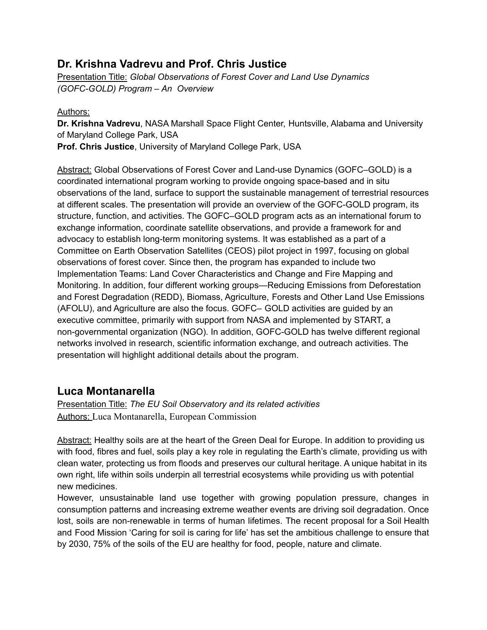### **Dr. Krishna Vadrevu and Prof. Chris Justice**

Presentation Title: *Global Observations of Forest Cover and Land Use Dynamics (GOFC-GOLD) Program – An Overview*

#### Authors:

**Dr. Krishna Vadrevu**, NASA Marshall Space Flight Center, Huntsville, Alabama and University of Maryland College Park, USA **Prof. Chris Justice**, University of Maryland College Park, USA

Abstract: Global Observations of Forest Cover and Land-use Dynamics (GOFC–GOLD) is a coordinated international program working to provide ongoing space-based and in situ observations of the land, surface to support the sustainable management of terrestrial resources at different scales. The presentation will provide an overview of the GOFC-GOLD program, its structure, function, and activities. The GOFC–GOLD program acts as an international forum to exchange information, coordinate satellite observations, and provide a framework for and advocacy to establish long-term monitoring systems. It was established as a part of a Committee on Earth Observation Satellites (CEOS) pilot project in 1997, focusing on global observations of forest cover. Since then, the program has expanded to include two Implementation Teams: Land Cover Characteristics and Change and Fire Mapping and Monitoring. In addition, four different working groups—Reducing Emissions from Deforestation and Forest Degradation (REDD), Biomass, Agriculture, Forests and Other Land Use Emissions (AFOLU), and Agriculture are also the focus. GOFC– GOLD activities are guided by an executive committee, primarily with support from NASA and implemented by START, a non-governmental organization (NGO). In addition, GOFC-GOLD has twelve different regional networks involved in research, scientific information exchange, and outreach activities. The presentation will highlight additional details about the program.

## **Luca Montanarella**

Presentation Title: *The EU Soil Observatory and its related activities* Authors: Luca Montanarella, European Commission

Abstract: Healthy soils are at the heart of the Green Deal for Europe. In addition to providing us with food, fibres and fuel, soils play a key role in regulating the Earth's climate, providing us with clean water, protecting us from floods and preserves our cultural heritage. A unique habitat in its own right, life within soils underpin all terrestrial ecosystems while providing us with potential new medicines.

However, unsustainable land use together with growing population pressure, changes in consumption patterns and increasing extreme weather events are driving soil degradation. Once lost, soils are non-renewable in terms of human lifetimes. The recent proposal for a Soil Health and Food Mission 'Caring for soil is caring for life' has set the ambitious challenge to ensure that by 2030, 75% of the soils of the EU are healthy for food, people, nature and climate.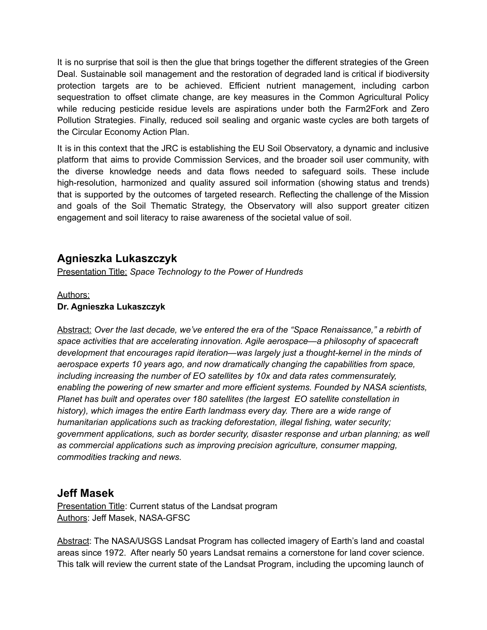It is no surprise that soil is then the glue that brings together the different strategies of the Green Deal. Sustainable soil management and the restoration of degraded land is critical if biodiversity protection targets are to be achieved. Efficient nutrient management, including carbon sequestration to offset climate change, are key measures in the Common Agricultural Policy while reducing pesticide residue levels are aspirations under both the Farm2Fork and Zero Pollution Strategies. Finally, reduced soil sealing and organic waste cycles are both targets of the Circular Economy Action Plan.

It is in this context that the JRC is establishing the EU Soil Observatory, a dynamic and inclusive platform that aims to provide Commission Services, and the broader soil user community, with the diverse knowledge needs and data flows needed to safeguard soils. These include high-resolution, harmonized and quality assured soil information (showing status and trends) that is supported by the outcomes of targeted research. Reflecting the challenge of the Mission and goals of the Soil Thematic Strategy, the Observatory will also support greater citizen engagement and soil literacy to raise awareness of the societal value of soil.

## **Agnieszka Lukaszczyk**

Presentation Title: *Space Technology to the Power of Hundreds*

#### Authors: **Dr. Agnieszka Lukaszczyk**

Abstract: *Over the last decade, we've entered the era of the "Space Renaissance," a rebirth of space activities that are accelerating innovation. Agile [aerospace](https://www.planet.com/pulse/what-is-agile-aerospace-learn-planets-approach/)—a philosophy of spacecraft development that encourages rapid iteration—was largely just a thought-kernel in the minds of aerospace experts 10 years ago, and now dramatically changing the capabilities from space, including increasing the number of EO satellites by 10x and data rates commensurately, enabling the powering of new smarter and more efficient systems. Founded by NASA scientists, Planet has built and operates over 180 satellites (the largest EO satellite constellation in history), which images the entire Earth landmass every day. There are a wide range of humanitarian applications such as tracking deforestation, illegal fishing, water security; government applications, such as border security, disaster response and urban planning; as well as commercial applications such as improving precision agriculture, consumer mapping, commodities tracking and news.*

### **Jeff Masek**

Presentation Title: Current status of the Landsat program Authors: Jeff Masek, NASA-GFSC

Abstract: The NASA/USGS Landsat Program has collected imagery of Earth's land and coastal areas since 1972. After nearly 50 years Landsat remains a cornerstone for land cover science. This talk will review the current state of the Landsat Program, including the upcoming launch of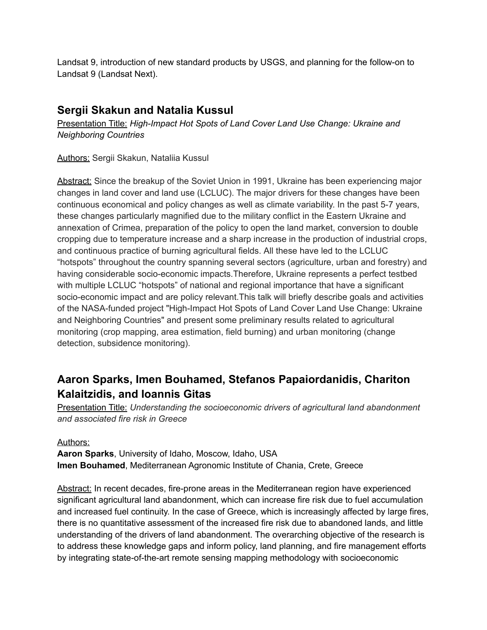Landsat 9, introduction of new standard products by USGS, and planning for the follow-on to Landsat 9 (Landsat Next).

### **Sergii Skakun and Natalia Kussul**

Presentation Title: *High-Impact Hot Spots of Land Cover Land Use Change: Ukraine and Neighboring Countries*

Authors: Sergii Skakun, Nataliia Kussul

Abstract: Since the breakup of the Soviet Union in 1991, Ukraine has been experiencing major changes in land cover and land use (LCLUC). The major drivers for these changes have been continuous economical and policy changes as well as climate variability. In the past 5-7 years, these changes particularly magnified due to the military conflict in the Eastern Ukraine and annexation of Crimea, preparation of the policy to open the land market, conversion to double cropping due to temperature increase and a sharp increase in the production of industrial crops, and continuous practice of burning agricultural fields. All these have led to the LCLUC "hotspots" throughout the country spanning several sectors (agriculture, urban and forestry) and having considerable socio-economic impacts.Therefore, Ukraine represents a perfect testbed with multiple LCLUC "hotspots" of national and regional importance that have a significant socio-economic impact and are policy relevant.This talk will briefly describe goals and activities of the NASA-funded project "High-Impact Hot Spots of Land Cover Land Use Change: Ukraine and Neighboring Countries" and present some preliminary results related to agricultural monitoring (crop mapping, area estimation, field burning) and urban monitoring (change detection, subsidence monitoring).

# **Aaron Sparks, Imen Bouhamed, Stefanos Papaiordanidis, Chariton Kalaitzidis, and Ioannis Gitas**

Presentation Title: *Understanding the socioeconomic drivers of agricultural land abandonment and associated fire risk in Greece*

Authors:

**Aaron Sparks**, University of Idaho, Moscow, Idaho, USA **Imen Bouhamed**, Mediterranean Agronomic Institute of Chania, Crete, Greece

Abstract: In recent decades, fire-prone areas in the Mediterranean region have experienced significant agricultural land abandonment, which can increase fire risk due to fuel accumulation and increased fuel continuity. In the case of Greece, which is increasingly affected by large fires, there is no quantitative assessment of the increased fire risk due to abandoned lands, and little understanding of the drivers of land abandonment. The overarching objective of the research is to address these knowledge gaps and inform policy, land planning, and fire management efforts by integrating state-of-the-art remote sensing mapping methodology with socioeconomic